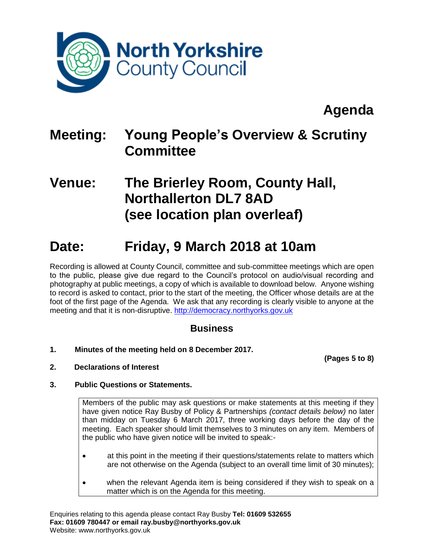

# **Agenda**

## **Meeting: Young People's Overview & Scrutiny Committee**

## **Venue: The Brierley Room, County Hall, Northallerton DL7 8AD (see location plan overleaf)**

### **Date: Friday, 9 March 2018 at 10am**

Recording is allowed at County Council, committee and sub-committee meetings which are open to the public, please give due regard to the Council's protocol on audio/visual recording and photography at public meetings, a copy of which is available to download below. Anyone wishing to record is asked to contact, prior to the start of the meeting, the Officer whose details are at the foot of the first page of the Agenda. We ask that any recording is clearly visible to anyone at the meeting and that it is non-disruptive. [http://democracy.northyorks.gov.uk](http://democracy.northyorks.gov.uk/)

### **Business**

**1. Minutes of the meeting held on 8 December 2017.**

**(Pages 5 to 8)**

**2. Declarations of Interest**

### **3. Public Questions or Statements.**

Members of the public may ask questions or make statements at this meeting if they have given notice Ray Busby of Policy & Partnerships *(contact details below)* no later than midday on Tuesday 6 March 2017, three working days before the day of the meeting. Each speaker should limit themselves to 3 minutes on any item. Members of the public who have given notice will be invited to speak:-

- at this point in the meeting if their questions/statements relate to matters which are not otherwise on the Agenda (subject to an overall time limit of 30 minutes);
- when the relevant Agenda item is being considered if they wish to speak on a matter which is on the Agenda for this meeting.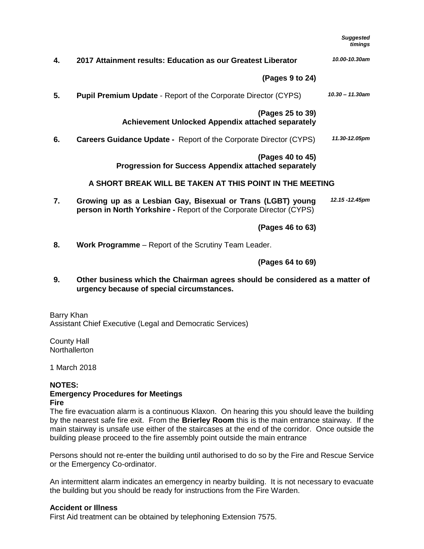*Suggested timings*

| 4. | 2017 Attainment results: Education as our Greatest Liberator                                                                       | 10.00-10.30am      |
|----|------------------------------------------------------------------------------------------------------------------------------------|--------------------|
|    | (Pages 9 to 24)                                                                                                                    |                    |
| 5. | <b>Pupil Premium Update - Report of the Corporate Director (CYPS)</b>                                                              | $10.30 - 11.30$ am |
|    | (Pages 25 to 39)<br>Achievement Unlocked Appendix attached separately                                                              |                    |
| 6. | <b>Careers Guidance Update -</b> Report of the Corporate Director (CYPS)                                                           | 11.30-12.05pm      |
|    | (Pages 40 to 45)<br><b>Progression for Success Appendix attached separately</b>                                                    |                    |
|    | A SHORT BREAK WILL BE TAKEN AT THIS POINT IN THE MEETING                                                                           |                    |
| 7. | Growing up as a Lesbian Gay, Bisexual or Trans (LGBT) young<br>person in North Yorkshire - Report of the Corporate Director (CYPS) | 12.15 -12.45pm     |
|    | (Pages 46 to 63)                                                                                                                   |                    |
| 8. | Work Programme - Report of the Scrutiny Team Leader.                                                                               |                    |
|    | (Pages 64 to 69)                                                                                                                   |                    |

**9. Other business which the Chairman agrees should be considered as a matter of urgency because of special circumstances.**

Barry Khan Assistant Chief Executive (Legal and Democratic Services)

County Hall **Northallerton** 

1 March 2018

#### **NOTES:**

#### **Emergency Procedures for Meetings Fire**

The fire evacuation alarm is a continuous Klaxon. On hearing this you should leave the building by the nearest safe fire exit. From the **Brierley Room** this is the main entrance stairway. If the main stairway is unsafe use either of the staircases at the end of the corridor. Once outside the building please proceed to the fire assembly point outside the main entrance

Persons should not re-enter the building until authorised to do so by the Fire and Rescue Service or the Emergency Co-ordinator.

An intermittent alarm indicates an emergency in nearby building. It is not necessary to evacuate the building but you should be ready for instructions from the Fire Warden.

#### **Accident or Illness**

First Aid treatment can be obtained by telephoning Extension 7575.